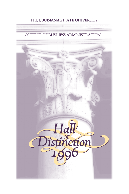# **THE LOUISIANA ST ATE UNIVERSITY**

# **COLLEGE OF BUSINESS ADMINISTRATION**

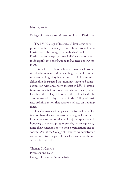#### May 11, 1996

College of Business Administration Hall of Distinction

The LSU College of Business Administration is proud to induct the inaugural members into its Hall of Distinction. The college has established the Hall of Distinction to recognize those individuals who have made significant contributions in business and government.

Criteria for selection include distinguished professional achievement and outstanding civic and community service. Eligibility is not limited to LSU alumni, although it is expected that nominees have had some connection with and shown interest in LSU. Nominations are solicited each year from alumni, faculty, and friends of the college. Election to the hall is decided by a committee of faculty and staff in the College of Business Administration that reviews and acts on nominations.

The distinguished people elected to the Hall of Distinction have diverse backgrounds ranging from the Federal Reserve to presidents of major corporations. In honoring this select group of people, the college recognizes their contributions to their organizations and to society. We, at the College of Business Administration, are honored to be a part of their lives and cherish our association with them.

Thomas D. Clark, Jr. Professor and Dean College of Business Administration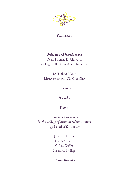

# **PROGRAM**

.............................

*Welcome and Introductions*  Dean Thomas D. Clark, Jr. College of Business Administration

*LSU Alma Mater*  Members of the LSU Glee Club

*Invocation*

*Remarks*

*Dinner*

*Induction Ceremonies for the College of Business Administration 1996 Hall of Distinction*

> James C. Flores Robert S. Greer, Sr. G. Lee Griffin Susan M. Phillips

*Closing Remarks*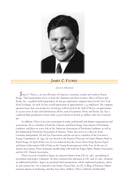

## **JAMES C. FLORES**

*(JUNIOR MEMBER)*

**J**ames C. Flores, a 36-year-old native of Lafayette, Louisiana, resides and works in Baton Rouge. This businessman serves as both the chairman and chief executive officer of Flores and Rucks, Inc., a publicly held independent oil and gas exploration company listed on the New York Stock Exchange. As such, he has overall supervision of approximately 234 employees. His company operates more than 500 productive oil and gas wells located in the Gulf of Mexico on approximately 50,000 acres of state and federal leases off the coast of Louisiana. Flores and Rucks, Inc. has a combined daily production of more than 24,000 barrels of oil and 50 million cubic feet of natural gas.

In addition, Flores is an active participant in many professional and alumni organizations and associations. He is a member of both the Lafayette and Baton Rouge Associations of Petroleum Landmen, and plays an active role in the American Association of Petroleum Landmen, as well as the Independent Petroleum Association of America. Flores also serves as a director of the Louisiana Independent Oil and Gas Association and has served as a member of the Governor's Energy Commission. In 1995, he was elected to the Board of Directors of Union Planters Bank in Baton Rouge. In April of this year, he was inducted into the *Greater Baton Rouge Business Report* and Junior Achievement Hall of Fame as the Young Businessperson of the Year. In the area of alumni associations, Flores maintains membership with both the Kappa Alpha Alumni Association and the LSU Alumni Association.

Flores received a bachelor's degree in corporate finance from LSU in 1981, specializing in investment and project evaluation. He then continued his education at LSU and, in 1982, obtained an additional bachelor's degree in petroleum land management, which emphasized property, mineral, and contract law. He is married to the former Cherie Hair, an LSU College of Business Administration alumna in marketing, and they have three children, Olivia, Caldwell, and Meredith.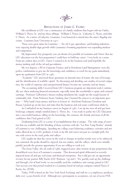

#### *REFLECTIONS OF JAMES C. FLORES*

My enrollment at LSU was a continuance of a family tradition that began with my Father, William S. Flores, Sr., and my three siblings - William S. Flores, Jr., Catherine C. Flores, and John V. Flores. As a native of Lafayette, Louisiana, I was honored to attend into the state's flagship university - Louisiana State University in 1977.

These were great times for Louisiana  $-$  the oil  $\Im$  gas, agriculture, and banking industries were enjoying double digit growth while Louisiana's booming population was expanding markets and competition.

My Impression! Any prosperity you can dream of is possible in Louisiana and I knew that my LSU education was the best preparation I could have to build my career. I was lucky in a sense. From my earliest days at LSU, I knew I wanted to be in the business end (and hopefully the money-making end) of the oil and gas industry.

My two degrees, a BS in Corporate Finance and in Petroleum Land Management, were the perfect combination to give me the knowledge and confidence to reach for my goals immediately upon my graduation from LSU in 1982.

"Academic" LSU answered those questions on internal rates of return, the uses of leverage, and the identification of available capital. By discussing and detailing case studies of several companies, the world of corporate and entrepreneurial finance became my curiosity and my future.

The accounting skills I received from LSU's business program are important tools I continually use when analyzing financial statements, especially items like stockholder's equity and retained earnings. Professor Culbertson's futures trading simulation lab, taught me the tough lessons of commodity risk. From Professor Staats' banking class I learned the answer to an important question — Why bank's loan money and how to borrow it! And from Professors Davidson and Breaux I picked up on the laws and rules that the business and real estate world must abide by.

As I embarked on my business career in August of 1982, I set up my own oil and gas lease brokerage company simply entitled James C. Flores, Inc. I was ready to parlay my LSU Education into a successful business calling on the knowledge, the contacts, the friends and most of all the confidence that I had gained at LSU.

Graduating from LSU is a sense of accomplishment that is unique. The wide range of activities that are available and the blending of those activities with the "Les Bon Temp Roulez" attitude of Louisiana is very challenging. Spending my college years balancing academics, activities and attitudes allowed me as a LSU graduate to look at my life and career not just as a straight path, but one with curves in the road, peaks and valleys.

LSU taught me that the curves in the road or changes in market trends were to be embraced, not contested, the peaks should be enjoyed, but not endure, and the valleys, which were initially painful, provide the greatest opportunity if you are willing to work at it.

The Great Valley, the oil crash of 1986, triggered asset value erosion of epic proportions that destabilized every facet of Louisiana's economy. This downward spiral obliterated or severely impaired most oil and gas, real estate and financial enterprises. But it did give me an opportunity of entry for my partner Billy Rucks (LSU Business '79) and I. We quickly took up the challenge and through a lot of hard work, we successfully used the confidence and courage gained at LSU. Our success over this period resulted in a Louisiana based oil and gas company named Flores  $\Im$ Rucks, Inc. (FNR).

Today, FNR is listed on the New York Stock Exchange and with its 225 employees, produces daily over 25,000 barrels of oil. Although not a prerequisite to acceptance, six out of seven FNR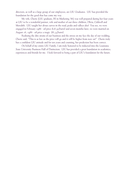directors, as well as a large group of our employees, are LSU Graduates. LSU has provided the foundation for the good that has come my way.

My wife, Cherie (LSU graduate, BS in Marketing '86) was well prepared during her four years at LSU to be a wonderful partner, wife and mother of our three children, Olivia, Caldwell and Meredith. LSU taught her about curves in the road, peaks and valleys also! You see, we were engaged in February 1986 - oil price \$28.50/barrel and seven months later, we were married on August 16, 1986 - oil price a tragic \$8.35/barrel.

Realizing the dire straits of our business and the stress on my face the day of our wedding, Cherie said, "This is as low as the price will go and it will be higher from now on!" Cherie truly has a confident LSU attitude and for ten years and counting, her prediction has been correct.

On behalf of my entire LSU Family, I am truly honored to be inducted into the Louisiana State University Business Hall of Distinction. LSU has provided a great foundation in academics, experiences and friends for me. I look forward to being a part of LSU's foundation for the future.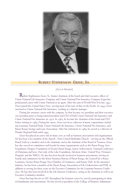

# **ROBERT STEPHENSON GREER, SR.**

*(SENIOR MEMBER)*

**R**obert Stephenson Greer, Sr., former chairman of the board and chief executive officer of Union National Life Insurance Company and Union National Fire Insurance Company began his professional career with Union National as an agent. After the start of World War II in late 1941, Greer joined the United States Navy, serving most of his tour of duty in the Pacific. In 1945, Greer returned to Union National Life Insurance, working as a district manager.

During his extensive career with the company, he first became vice president and then executive vice president prior to being named president and CEO of both Union National Life Insurance and Union National Fire Insurance in 1970. In 1985, he became the chairman of the board and CEO before retiring in 1989. During his career, Greer served as a director of many corporations, including Louisiana National Bank, Union National Life Insurance, Union National Fire Insurance, and Baton Rouge Savings and Loan Association. After his retirement in 1989, he served as a director of Premier Regional Bank until 1995.

Greer has played an active role in many civic as well as business associations and organizations. He has been a key member of his church—First United Methodist Church—serving on the Official Board, both as a member and as the chairman, and as the chairman of the Board of Trustees. Greer has also served on committees and boards for many organizations such as the Baton Rouge Area Foundation, Hospice Foundation of Greater Baton Rouge, Junior Achievement, National Conference of Christians and Jews, Our Lady of the Lake Foundation, Salvation Army, United Way, Woman's Hospital, and the YMCA. He also has been heavily involved in business associations, serving on boards and committees for the Better Business Bureau of Baton Rouge, the Council for a Better Louisiana, Greater Baton Rouge Area Chamber of Commerce, and Rotary Club. In the insurance industry, he has been a member of the Baton Rouge Association of Life Underwriters and PAR, in addition to serving for three years on the Executive Committee for the Louisiana Insurers Conference. He has also been involved in the Life Insurers Conference, acting as the chairman as well as an Executive Committee member.

Greer has kept his ties to LSU throughout his business career by actively participating in alumni foundations and associations. He has served as president of the College of Business Administra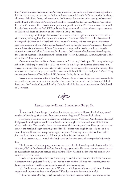tion Alumni and vice chairman of the Advisory Council of the College of Business Administration. He has been a board member of the College of Business Administration's Partnership for Excellence, chairman of the Fund Drive, and president of the Business Partnership. Additionally, he has served on the Board of Directors of Pennington Biomedical Research Center and the Alumni Association Executive Committee. Greer has held the position of president of the LSU Alumni Association and has also been a member of the LSU Foundation. In governmental activities, Greer is a past member of the Mineral Board of Directors and the Mayor's Drug Task Force.

Over his long and distinguished career, Greer has been the recipient of numerous civic and service awards, including Free Enterpriser of the Year and Executive of the Year. He has been named Distinguished Citizen of the Year by the Boy Scouts of America, and has been given a Volunteer Activist award, as well as a Distinguished Service Award by the Life Insurers Conference. The LSU Alumni Association has named Greer Alumnus of the Year, and he has been inducted into the Alumni Association Hall of Distinction. Furthermore, the University has honored Greer by giving the Chair of Business Administration the official title "Robert S. Greer, Sr., Alumni Endowed Chair of Business Administration."

Greer, who was born in Baton Rouge, grew up in Vicksburg, Mississippi. After completing high school in Vicksburg, he enrolled at LSU, and received a B.S. degree in business administration in 1941. He is married to the former Patricia Pettry, whom he met during his time in the military. The two have been married for 51 years and have two sons, Robert S. Greer, Jr., and John P. Greer. They are also grandparents of five, Robert S. III, Jonathan, Leslie, Adam, and Scott.

Greer is also a member of the Baton Rouge Country Club, where he has previously served both as president and as a member of the Board of Governors. He is a member of the Country Club of Louisiana, the Camelot Club, and the City Club, for which he has served as a member of the Board of Governors.



### *REFLECTIONS OF ROBERT STEPHENSON GREER, SR.*

**I** was born in Baton Rouge, Louisiana, but due to my mother's illness I lived with my grandmother in Vicksburg, Mississippi, from three months of age until I finished high school.

Huey Long's best man in his wedding ran a clothing store in Vicksburg. One Sunday, after LSU had played football against Vanderbilt in Nashville, he brought the band and some of the Cadet Corps to the city. They paraded down the main street that morning and then Huey got out on a balcony at the hotel and began throwing out dollar bills. Times were tough in the early 1930s. I am sure Huey would have had 100 percent support to annex Vicksburg into Louisiana. I was indeed impressed and from that moment LSU was the only university I considered.

When I came to LSU, I was thrilled and scared at the same time. The campus looked awfully big.

The freshman orientation program set me on a track that I followed my entire business life. Mr. Gottlieb, CEO of City National Bank in Baton Rouge, gave a talk. He stated that one reason he was so successful in banking was because of his relative ability. He cited his kin who had been or were connected with the bank.

I made up my mind right then that I was going to work for the Union National Life Insurance Company when I graduated from LSU, as I had as much relative ability as Mr. Gottlieb, since my father, my uncle, my brother, and a cousin were all with that company.

Mr. Gottlieb made another statement. "Don't ever think you can be successful alone. It takes support and cooperation from a *lot* of people." That has certainly been true in my life.

When I attended LSU (1937-41) the College of Business Administration was known as the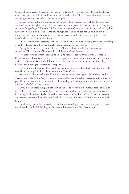College of Commerce. The dean of the college was James B. Trant who was a kind and dedicated man—dedicated to LSU and to the students of the college. He did everything within his power to see that graduates of the college obtained good jobs.

I, along with about five of my friends got to know the professors very well for the wrong reasons. We went through a period where we were more into party time than school time. They really got on us for goofing off. Sometimes I think some of the professors set it up for us to take a psychology course with Dr. Paul Young. One day he hypnotized all of us. He had us do a lot of weird things, but one thing he did was to tell us that we were to study and make good grades. That is exactly what we did from that point on.

The dedication of the teachers to the success of the students was amazing, and I had the feeling when I graduated that if I applied myself, I could accomplish any goal I set.

During finals in May 1941 my father died. All the professors waived my requirement to take any exams. That is an act of kindness that will be in my heart forever.

I went to work for Union National as an agent after graduation. World War II started in December 1941. I wanted to get in the Navy V7 program. Dean Trant wrote a letter of recommendation that would make you think I was the greatest student ever to graduate from the college. I believe I could have gone directly to Annapolis.

During the war I became a lieutenant and the most important thing that happened in my life was when I met my wife, Pat, a lieutenant in the Coast Guard.

After the war I returned to the Union National as district manager in New Orleans, and in 1949 we moved to Baton Rouge. There is no doubt that the foundation I received at LSU made it possible for me to move into the positions of leadership in the company and various other organizations with which I became associated.

Living here in Baton Rouge, it has been a privilege to work with the various deans of the business college, Bill Ross, Don Woodland, and Jim Henry, with whom I was especially involved in raising money for the school. Today the college has an outstanding dean in Tom Clark. He deserves 100 percent support as he works to make the LSU College of Business Administration first in the South.

I shall always be in the University's debt. No one could appreciate more being selected as an initial member of the LSU College of Business Administration Hall of Distinction.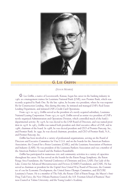

### **G. L EE GRIFFIN**

*(SENIOR MEMBER)*

**G**. Lee Griffin, a native of Leavenworth, Kansas, began his career in the banking industry in 1962 as a management trainee for Louisiana National Bank (LNB), now Premier Bank, which was recently acquired by Bank One. By the late 1960s, he became vice president, where he was responsible for Construction Lending. Also during this time, he initiated and managed LNB's Real Estate Lending Department, and initiated LNB's Credit Card Operations.

From 1971 to 1973, Griffin served as the president of a newly acquired subsidiary, Louisiana National Leasing Corporation. From 1973 to 1978, Griffin served as senior vice president of LNB's newly organized Administration and Operations Division, which controlled much of the bank's departmental activity. By 1976, he was elected to the LNB Board of Directors, and was named president in 1978. In 1983, Griffin was named both president and chief executive officer of LNB, and in 1986, chairman of the board. In 1988, he was elected president and CEO of Premier Bancorp, Inc., and Premier Bank. In 1990, he was elected chairman, president, and CEO of Premier Bank, N.A., and Premier Bancorp, Inc.

Griffin has been involved in a variety of professional organizations, serving on the Board of Directors and Executive Committee for Visa U.S.A. and on the boards for the American Bankers Association, the Council for a Better Louisiana (CABL), and the Louisiana Association of Business and Industry (LABI). He was president of the Louisiana Bankers Association and was a member of the American Bankers Council and the Bankers Roundtable.

Griffin has participated in numerous civic and community activities in a variety of capacities throughout his career. He has served on the boards for the Baton Rouge Symphony, the Baton Rouge Area Foundation, the National Conference of Christians and Jews, LABI, Our Lady of the Lake, Center for Advanced Microstructures and Devices (CAMD) Foundation, and CABL. He has served as chairman or president for the Capital Area United Way Board of Directors, the Committee of 100 for Economic Development, the United States Olympic Committee, and SECURE Louisiana's Future. He is a member of The Fish, the Rotary Club of Baton Rouge, the Mayor's Anti-Drug Task Force, the New Orleans Business Council, the A.B. Freeman School of Business' Business Council at Tulane University, and the Young Leader's Academy.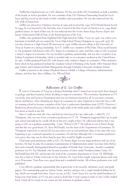Griffin has remained active as a LSU alumnus. He has served the LSU Foundation as both a member of the board, as well as president. He was a founder of the LSU Business Partnership Board for Excellence and has served on the board as both a member and as president. He was also inducted into the LSU Hall of Distinction.

Griffin was selected as Volunteer Activist of 1984 and received the 1992 NCCJ Brotherhood Award. In 1994, he was honored by the Istrouma Area Council of the Boy Scouts of America as its 1994 distinguished citizen. In April of this year, he was inducted into the *Greater Baton Rouge Business Report* and Junior Achievement Hall of Fame as the Businessperson of the Year.

Griffin, who graduated from Highland Park High School in Dallas, Texas, in 1956, was a three-year letterman in football and was named the Texas High School Diving Champion in 1955 and 1956. He was also chosen as a High School All American in 1956. Griffin entered college at the University of Texas at Austin on a diving scholarship. At UT, Griffin was a member of Phi Delta Theta social fraternity. He graduated with honors with a B.S. degree in economics in 1960, and then came to LSU to pursue a master's degree in economics. He was awarded a graduate assistantship, and was also a recipient of an Earhart Foundation Scholarship, which is awarded only to 20 economics students in the United States. In 1962, Griffin graduated from LSU with honors with a master's degree in economics. Other institutes from which he has graduated include the Graduate School of Banking of the South, ABA National Mortgage School, and Commercial Bank Management through Columbia University Graduate School.

Griffin is married to the former Elizabeth Barrett Lobdell, a College of Business Administration alumna, and they have three children, Lee, Bill and Beth.



## *Reflections of G. Lee Griffin*

**I** went to University of Texas on a diving scholarship where I started out in pre-med, then changed to geology, and then business, before deciding to major in economics. The economics department at UT was in the Arts and Sciences Department and was not business-oriented at all. It was more economic theory and history. After obtaining my degree in economics in 1960, I planned to enter the Navy's officer training school to become a member of the Navy's underwater demolition team (UDT). However, I flunked my physical because I had broken my right ankle in the ninth grade and couldn't bend my right foot down as much as my left.

Since I could not enter the Navy and had not interviewed for any other jobs, I called Dr. C.C. Thompson, who was one of my economics professors at UT. Dr. Thompson suggested that I go to graduate school and told me he would call me in the next couple of days. He called and told me that I was going to LSU on a graduate assistantship. I said, "Where's LSU?" He told me it was in Baton Rouge and that his very good friend, Dr. Steve McDonald, was the dean of the Department of Economics. Dr. Thompson wanted me to attend LSU because there were several professors there at the time who were beginning to get a national reputation in economics. He felt that although LSU's economics professors were great, they may not be there long because they would be highly recruited.

I had some great professors while at LSU. Dr. Bernie Sligar was my major professor and one of my favorites. He later became the Louisiana Commissioner of Administration under Governor John McKeithen and eventually distinguished himself as president of Florida State University. Another wonderful professor was Dr. Ray Marshall, who became Secretary of Labor under President Jimmy Carter. Dr. McDonald later left LSU and became the head of the economics department in Texas. Dr. Bill Bright now has a chair at Trinity University in San Antonio. Dr. Leon Schur taught corporate finance and went on to Wisconsin. Dean Ross was a good dean and a wonderful teacher. All of these professors were wellpublished.

I was offered a graduate assistantship that required me to do research, substitute teach, and grade papers. The assistantship paid my tuition, books, and fees and gave me a couple hundred dollars for living, which was enough back then. I knew no one at LSU. I don't know if it was the initial loneliness of being away from home, or if I was just scared to death that I wasn't going to make it, but I really studied hard. I made all As except in one course my last semester in graduate school.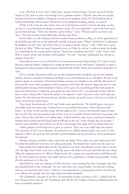I was a Phi Delt at Texas. Since I didn't know anyone in Baton Rouge, I became involved with the chapter at LSU and was active even though I was a graduate student. I had fun, met some nice people, and stayed involved in athletics. During my second year in graduate school, Dr. McDonald got me an Earhart Scholarship, which meant I did not have to do substitute teaching, grading, or research.

While at LSU, I met my wife, Barrie, who was in the business school. I was the substitute teacher one day in a second-semester freshman economics course. I'll never forget this. A girl in the back raised up her hand and said, "That's not what the teacher told us!" I said, "I'll check and let you know next time." The next semester I had a blind date with that girl, Barrie.

Barrie's father, an LSU alumnus, had been student body president in college, as well as quarterback of the football team, and was on the basketball, baseball, and track teams. When I asked him if I could marry his daughter, he said, "Sure, but tell me what you're going to do for a living." I said, "Well I have a great job back in Dallas." When he heard I planned to move to Dallas, he told me I could not marry his daughter. I asked him for his reasons and he told me, "Barrie has to graduate from LSU." I said, "Don't worry. SMU is a great school, and I promise she'll graduate." He said, " You don't understand, boy, she has to graduate from LSU!"

Barrie had one more year of school left, so I started interviewing in Baton Rouge. Dr. Schur, my professor in corporate finance, helped me by setting up interviews for me with banks. I ultimately accepted a management trainee position with Louisiana National Bank (LNB). Barrie and I married in September of 1962.

LSU's economic department really gave me the background that I needed to get into the banking industry, because economics in banking and finance are so interrelated as far as a discipline. Because of my master's degree in economics, I found that banking concepts were familiar to me, and that allowed me to learn quickly in my trainee program as well as progress at the bank. My master's degree put me in a wonderful position because of the foundation I had, as well as gave me a launching pad that most people in those days did not have. I thank the great professors that I had at LSU. I can honestly say that I did not have a course I did not like. I found the quality to be superior. I wasn't exposed to only conservative professors. We also had some liberal professors, and that contrast was good because it forced you to think of where you stood on certain issues.

I have many fond memories of LSU and I made many good friends. The football games were great, and I didn't miss one home game. I learned how to eat crawfish and oysters, which I had never had before—in Texas, we fed crawfish to pigs. My first night at LSU, I went to the fraternity house to introduce myself. They were just getting ready to leave to go to a crawfish boil and wanted me to go along with them. I had no idea what they were talking about. I found myself at some bayou, watching my fraternity brothers boil crawfish and then break them in half and eat the tail. I really thought that was strange! I tried an oyster and didn't get it all the way down. I went hungry that night, but I love them both now.

I think graduate school helped me to grow as a person. Those two years really helped me mature. The experience at LSU was so pleasant, the professors were skilled, and the people were good, so I also enjoyed it while I was growing. LSU provided a good foundation for my personal, as well as professional development.

Morality, integrity, and those values come from my family. Those values were also reinforced at LSU. I feel that the professors I had were very solid, good people. The friends that I made were the same way.

Many people have helped shape my life. My parents were such a big influence on me, and so was my wife. My high school swim coach was a really fine person who kept me focused and believed in me. Harry Allen, the assistant priest at St. Alban's Chapel on the LSU campus was a good friend to both Barrie and me. Dr. McDonald was a positive role model and was such a gentleman, so bright and personable. I found all of the professors to be like that.

Chuck McCoy, who was chairman of LNB, hired me. I have emulated his ideas of integrity and of giving something back to the community. He was a risk taker, not a typical banker. He believed in change and was very innovative and creative. I think it's very important for a young person in his or her first job to be influenced by people who have high ethical and moral standards.

LSU is definitely a big part of our lives. We participate in many activities at LSU—cultural and athletic. Being involved with the LSU Foundation and with the LSU College of Business Administration has been a wonderful experience.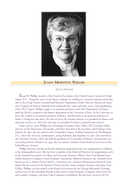

## **SUSAN MEREDITH PHILLIPS**

*(SENIOR MEMBER)*

**S**usan M. Phillips, member of the Board of Governors of the Federal Reserve System in Washington, D.C., began her career in the finance industry by working as a research assistant and technician in the Group Pension Actuarial and Research Department of John Hancock Mutual Life Insurance Company in Boston, Massachusetts, during the late 1960s and early 1970s. Upon graduating with a Ph.D. degree, Phillips taught as an assistant professor in the LSU Department of Finance until she left for a position in the finance department at the University of Iowa. At the University of Iowa, she worked as an assistant professor of finance, and then later as an associate professor of finance. During her time there, she also served as the interim assistant vice president for finance and university services, as well as the associate vice president for finance and university services.

From 1976 to 1978, Phillips was a Brookings Economic Policy Fellow, SEC Economic Fellow, and was on the Directorate of Economic and Policy Research of the Securities and Exchange Commission. In 1981, she was named to the Commodity Futures Trading Commission in Washington, D.C., where she served as commissioner, acting chairman, and chairman. In 1987, she returned to the University of Iowa, where she held the positions of vice president of finance and university services and professor of finance. In 1991, she was named a member of the Board of Governors of the Federal Reserve System.

Phillips has been actively involved in numerous professional and civic organizations in addition to her distinguished career. She has been a member of the Board of Directors for organizations such as the National Association of College and University Business Officers, State Farm Mutual Automobile Insurance Company, Futures Industry Association, Midwest Resources, Inc. (formerly Iowa Resources, Inc.), Musser-Davis Land Co., Neurotron, Inc., and Iowa Measurement Research Foundation. She has served on the Board of Trustees for the Futures Industry Institute and Agnes Scott College. Phillips was also named to the Board of Governors for the Chicago Mercantile Exchange, and has been on the Subsidiary Boards of State Farm General Insurance Company, State Farm Fire and Casualty Company, and State Farm Companies Foundation. She has been a reviewer for *The*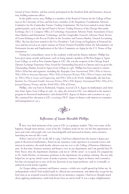*Journal of Future Markets*, and has actively participated in the Southern Risk and Insurance Association, holding numerous offices.

In the public service area, Phillips is a member of the Board of Visitors for the College of Business at the University of Iowa and has been a member of the Regulatory Coordination Advisory Committee for the Commodity Futures Trading Commission. She has been named to many distinguished panels, such as the Special Panel to Review Trading Practices of the Chicago Mercantile Exchange; the U.S. Congress Office of Technology Assessment Advisory Panel; Assessment of Securities Markets and Information Technology; and the Comptroller General's Advisory Panel, Review of Events Relating to the Recent Decline in the Securities and Futures Market, General Accounting Office. She has also been named to the Vice President's Task Group on Regulation of Financial Services and has served as an expert witness on Private Pension Portability before the Subcommittee on Retirement Income and Employment of the Select Committee on Aging for the U.S. House of Representatives.

During her extraordinary career in the academic world and the finance industry, Phillips has been given many awards and honors, such as being named a member of Phi Beta Kappa at Agnes Scott College, as well as Beta Gamma Sigma at LSU. She was the recipient of the Chicago Board Options Exchange Pomerance Prize Award for Outstanding Research in Options and was given the Outstanding Alumna Award at Agnes Scott College in 1982. Phillips has been named to various Who's Who lists and registries, including the *Biography Fame International*, *Who's Who in America*, *Who's Who in American Education*, *Who's Who of American Women*, *Who's Who in Finance and Indus try*, *Who's Who in Science and Engineering*, and *Who's Who in the World*. Additionally, she has been listed in *Two Thousand Notable American Women*, *Who's Who Registry*, *International Who's Who of Pro fessional Business Women*, and the *World Who's Who of Women*.

Phillips, who was born in Richmond, Virginia, received a B.A. degree in mathematics and chemistry from Agnes Scott College in 1967. In 1969, she arrived at LSU, was admitted to the master's program in theoretical mathematics, and obtained M.S. degrees in finance and economics in 1971. She continued her education at LSU, receiving a Ph.D. degree in finance with minors in economics and management in 1973.



## *Reflections of Susan Meredith Phillips*

**I** have very fond memories of my years at LSU as a graduate student. They were some of the happiest, though most intense, years of my life. Graduate study for me was the first opportunity to meet and work with people who were knowledgeable and interested in finance and economics, launching me into my life's work.

When I arrived at LSU in the fall of 1969, I had been admitted into the master's degree program in theoretical mathematics. Based on my insurance work experience in actuarial science and interest in statistics, the math faculty advisers sent me over to the College of Business Administration. At that time, business statistics and finance were in one department, and I am grateful that Dr. Perry Boyer, then the department chairman, took me in "off the street" so to speak. He assigned me to Dr. Linda Fletcher, an insurance professor in the department, for academic advising. She not only helped me set up my initial course of study to pursue a master's degree in finance and economics, but later encouraged me to stay on for my doctorate as my major professor, and we eventually coauthored several articles together.

As I began taking economics and finance courses, a whole new world opened up before me. In undergraduate school I had studied math in a liberal arts environment, and admit that except for my brief stint as an actuarial research technician for an insurance company, I had never thought much about applying mathematics; math had always been an end in itself. It was a major enlightenment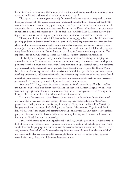for me to learn in class one day that a negative sign at the end of a complicated proof involving many equations and matrices showed that demand curves sloped down!

The 1970s were an exciting time to study finance—the old methods of security analysis were being supplemented by the capital asset pricing model and portfolio theory. I found out that M&M was not a mischaracterization of a popular candy or that "Operation Twist" was not a new dance. In economics classes, we thought about how to address macro problems and analyze reams of economic statistics. I am still embarrassed to recall one final exam, in which I had the Federal Reserve buying securities, rather than selling, to tighten monetary conditions—a mistake never made since!

Throughout all of my work at LSU, I remember a challenging and supportive faculty, sometimes pushing graduate students to their limits. One particularly humbling experience was when the first chapters of my dissertation came back from my committee chairman with extensive editorial comments (and that is a kind characterization). As a liberal arts undergraduate, I did think that the one thing I could do was write, but I soon found out that there is always room for improvement. That experience served me well when I got into the "publish or perish" academic environment.

The faculty were supportive not just in the classroom, but also in advising and shaping my career development. Throughout my tenure as a graduate student, I had research assistantships and part-time jobs that allowed me to work with faculty members on a professional basis, even participating in research and professional writing projects. Near the end of my program, Dr. Donald Woodland, then the finance department chairman, asked me to teach for a year in the department. I could finish my dissertation, and more importantly, gain classroom experience before having to face the job market. A year's teaching experience, degree in hand, and several published articles to my credit gave me a considerable advantage when I did go into the market the next year.

Attending LSU also gave me the chance to be near my family in northwest Florida, as well as my aunt and uncle, who lived first in New Orleans and then later in Baton Rouge. My uncle, who was a mining engineer for Kaiser, even took one of my financial management classes for engineers— I suspect that was as much a culture shock for him as it was for me!

I was not a Louisiana native, but I learned to love the state and its culture. In addition to making many lifelong friends, I learned to cook red beans and rice, catch beads in the Mardi Gras parades, and develop a taste for crawfish. My first year at LSU was the late Pistol Pete Maravich's last year and I went to as many basketball games as I could. I also became a Tiger football fan for life. When I later found myself with administrative responsibility for the University of Iowa athletic programs, the men's athletic director told me that with my LSU degree, he knew I understood the importance of football to a major university!

I am deeply honored to be an inaugural member of the LSU College of Business Administration Hall of Distinction. Reflecting on my graduate school days reminds me of a challenging faculty and curriculum that helped prepare me for a variety of careers in finance and economics—finance professor, university financial officer, future market regulator, and central banker. I am also reminded of my friends and colleagues that made the process of attaining my degrees so rewarding. In many ways, I wish my graduate school days could continue forever.